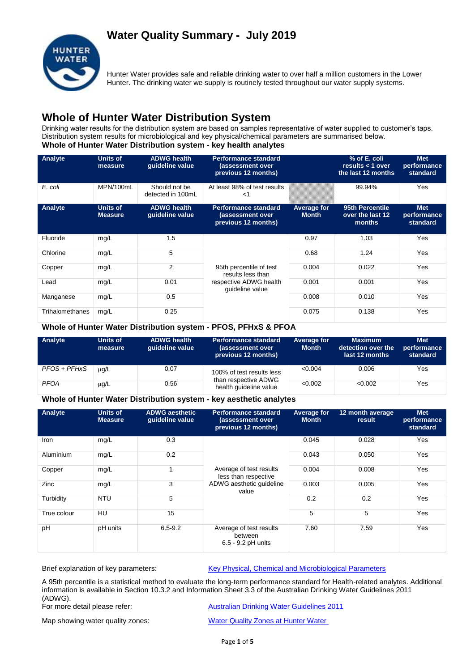## **Water Quality Summary - July 2019**



Hunter Water provides safe and reliable drinking water to over half a million customers in the Lower Hunter. The drinking water we supply is routinely tested throughout our water supply systems.

## **Whole of Hunter Water Distribution System**

Drinking water results for the distribution system are based on samples representative of water supplied to customer's taps. Distribution system results for microbiological and key physical/chemical parameters are summarised below. **Whole of Hunter Water Distribution system - key health analytes**

| Analyte         | Units of<br>measure               | <b>ADWG health</b><br>guideline value | <b>Performance standard</b><br>(assessment over<br>previous 12 months) |                             | % of E. coli<br>results $<$ 1 over<br>the last 12 months | <b>Met</b><br>performance<br>standard |
|-----------------|-----------------------------------|---------------------------------------|------------------------------------------------------------------------|-----------------------------|----------------------------------------------------------|---------------------------------------|
| E. coli         | MPN/100mL                         | Should not be<br>detected in 100mL    | At least 98% of test results<br><1                                     |                             | 99.94%                                                   | Yes                                   |
| Analyte         | <b>Units of</b><br><b>Measure</b> | <b>ADWG health</b><br>quideline value | <b>Performance standard</b><br>(assessment over<br>previous 12 months) | Average for<br><b>Month</b> | 95th Percentile<br>over the last 12<br>months            | <b>Met</b><br>performance<br>standard |
| Fluoride        | mg/L                              | 1.5                                   |                                                                        | 0.97                        | 1.03                                                     | Yes                                   |
| Chlorine        | mg/L                              | 5                                     |                                                                        | 0.68                        | 1.24                                                     | Yes                                   |
| Copper          | mg/L                              | 2                                     | 95th percentile of test<br>results less than                           | 0.004                       | 0.022                                                    | Yes                                   |
| Lead            | mg/L                              | 0.01                                  | respective ADWG health<br>guideline value                              | 0.001                       | 0.001                                                    | Yes                                   |
| Manganese       | mg/L                              | 0.5                                   |                                                                        | 0.008                       | 0.010                                                    | Yes                                   |
| Trihalomethanes | mg/L                              | 0.25                                  |                                                                        | 0.075                       | 0.138                                                    | Yes                                   |

#### **Whole of Hunter Water Distribution system - PFOS, PFHxS & PFOA**

| Analyte      | Units of<br>measure | <b>ADWG health</b><br>quideline value | <b>Performance standard</b><br>(assessment over<br>previous 12 months) | Average for<br><b>Month</b> | <b>Maximum</b><br>detection over the<br>last 12 months | <b>Met</b><br>performance<br>standard |
|--------------|---------------------|---------------------------------------|------------------------------------------------------------------------|-----------------------------|--------------------------------------------------------|---------------------------------------|
| PFOS + PFHxS | $\mu$ g/L           | 0.07                                  | 100% of test results less                                              | < 0.004                     | 0.006                                                  | Yes                                   |
| <b>PFOA</b>  | $\mu$ g/L           | 0.56                                  | than respective ADWG<br>health guideline value                         | < 0.002                     | < 0.002                                                | Yes                                   |

#### **Whole of Hunter Water Distribution system - key aesthetic analytes**

| Analyte     | <b>Units of</b><br><b>Measure</b> | <b>ADWG aesthetic</b><br>guideline value | <b>Performance standard</b><br>(assessment over<br>previous 12 months) | Average for<br><b>Month</b> | 12 month average<br>result | <b>Met</b><br>performance<br>standard |
|-------------|-----------------------------------|------------------------------------------|------------------------------------------------------------------------|-----------------------------|----------------------------|---------------------------------------|
| Iron        | mg/L                              | 0.3                                      | Average of test results<br>less than respective                        | 0.045                       | 0.028                      | Yes                                   |
| Aluminium   | mg/L                              | 0.2                                      |                                                                        | 0.043                       | 0.050                      | Yes                                   |
| Copper      | mg/L                              | 1                                        |                                                                        | 0.004                       | 0.008                      | Yes                                   |
| Zinc        | mg/L                              | 3                                        | ADWG aesthetic quideline<br>value                                      | 0.003                       | 0.005                      | Yes                                   |
| Turbidity   | <b>NTU</b>                        | 5                                        |                                                                        | 0.2                         | 0.2                        | Yes                                   |
| True colour | HU                                | 15                                       |                                                                        | 5                           | 5                          | Yes                                   |
| pH          | pH units                          | $6.5 - 9.2$                              | Average of test results<br>between<br>6.5 - 9.2 pH units               | 7.60                        | 7.59                       | Yes                                   |

Brief explanation of key parameters: [Key Physical, Chemical and Microbiological Parameters](http://www.hunterwater.com.au/Resources/Documents/Fact-Sheets/Water-Quality/Key-WQ-Parameters.pdf)

A 95th percentile is a statistical method to evaluate the long-term performance standard for Health-related analytes. Additional information is available in Section 10.3.2 and Information Sheet 3.3 of the Australian Drinking Water Guidelines 2011 (ADWG).<br>For more detail please refer:

**[Australian Drinking Water Guidelines 2011](http://www.nhmrc.gov.au/guidelines/publications/eh52)** 

Map showing water quality zones: [Water Quality Zones at Hunter Water](http://www.hunterwater.com.au/Resources/Documents/Fact-Sheets/Water-Quality/Water-Supply-Zones---HWC.PDF)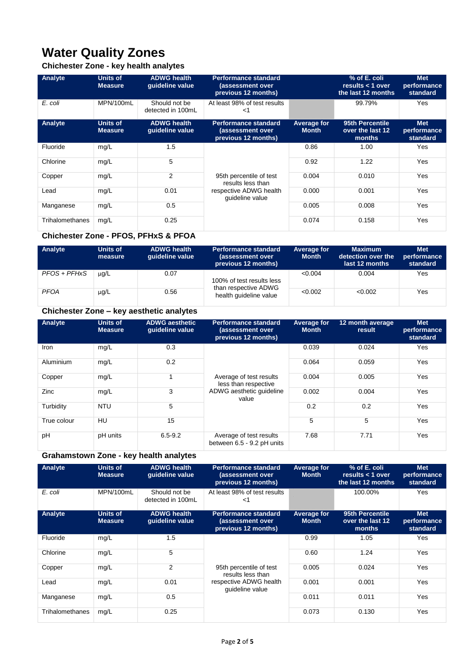# **Water Quality Zones**

## **Chichester Zone - key health analytes**

| Analyte         | <b>Units of</b><br><b>Measure</b> | <b>ADWG health</b><br>quideline value | <b>Performance standard</b><br>(assessment over<br>previous 12 months) |                             | % of E. coli<br>results $<$ 1 over<br>the last 12 months | <b>Met</b><br>performance<br>standard |
|-----------------|-----------------------------------|---------------------------------------|------------------------------------------------------------------------|-----------------------------|----------------------------------------------------------|---------------------------------------|
| E. coli         | MPN/100mL                         | Should not be<br>detected in 100mL    | At least 98% of test results<br><1                                     |                             | 99.79%                                                   | Yes                                   |
| Analyte         | <b>Units of</b><br><b>Measure</b> | <b>ADWG health</b><br>guideline value | Performance standard<br>(assessment over<br>previous 12 months)        | Average for<br><b>Month</b> | 95th Percentile<br>over the last 12<br>months            | <b>Met</b><br>performance<br>standard |
| Fluoride        | mg/L                              | 1.5                                   |                                                                        | 0.86                        | 1.00                                                     | Yes                                   |
| Chlorine        | mg/L                              | 5                                     |                                                                        | 0.92                        | 1.22                                                     | Yes                                   |
| Copper          | mg/L                              | 2                                     | 95th percentile of test<br>results less than                           | 0.004                       | 0.010                                                    | Yes                                   |
| Lead            | mg/L                              | 0.01                                  | respective ADWG health<br>quideline value                              | 0.000                       | 0.001                                                    | Yes                                   |
| Manganese       | mg/L                              | 0.5                                   |                                                                        | 0.005                       | 0.008                                                    | Yes                                   |
| Trihalomethanes | mg/L                              | 0.25                                  |                                                                        | 0.074                       | 0.158                                                    | Yes                                   |

### **Chichester Zone - PFOS, PFHxS & PFOA**

| Analyte      | Units of<br>measure | <b>ADWG health</b><br>quideline value | <b>Performance standard</b><br>(assessment over<br>previous 12 months) | Average for<br><b>Month</b> | <b>Maximum</b><br>detection over the<br>last 12 months | <b>Met</b><br>performance<br>standard |
|--------------|---------------------|---------------------------------------|------------------------------------------------------------------------|-----------------------------|--------------------------------------------------------|---------------------------------------|
| PFOS + PFHxS | $\mu$ g/L           | 0.07                                  | 100% of test results less                                              | < 0.004                     | 0.004                                                  | Yes                                   |
| <b>PFOA</b>  | $\mu$ g/L           | 0.56                                  | than respective ADWG<br>health quideline value                         | < 0.002                     | < 0.002                                                | Yes                                   |

## **Chichester Zone – key aesthetic analytes**

| Analyte     | <b>Units of</b><br><b>Measure</b> | <b>ADWG aesthetic</b><br>quideline value | <b>Performance standard</b><br>(assessment over<br>previous 12 months) | Average for<br><b>Month</b> | 12 month average<br>result | <b>Met</b><br>performance<br>standard |
|-------------|-----------------------------------|------------------------------------------|------------------------------------------------------------------------|-----------------------------|----------------------------|---------------------------------------|
| Iron        | mg/L                              | 0.3                                      | Average of test results<br>less than respective                        | 0.039                       | 0.024                      | Yes                                   |
| Aluminium   | mg/L                              | 0.2                                      |                                                                        | 0.064                       | 0.059                      | Yes                                   |
| Copper      | mg/L                              |                                          |                                                                        | 0.004                       | 0.005                      | Yes                                   |
| Zinc        | mg/L                              | 3                                        | ADWG aesthetic quideline<br>value                                      | 0.002                       | 0.004                      | Yes                                   |
| Turbidity   | <b>NTU</b>                        | 5                                        |                                                                        | 0.2                         | 0.2                        | Yes                                   |
| True colour | HU                                | 15                                       |                                                                        | 5                           | 5                          | Yes                                   |
| pH          | pH units                          | $6.5 - 9.2$                              | Average of test results<br>between 6.5 - 9.2 pH units                  | 7.68                        | 7.71                       | Yes                                   |

## **Grahamstown Zone - key health analytes**

| Analyte         | Units of<br><b>Measure</b>        | <b>ADWG health</b><br>guideline value | <b>Performance standard</b><br>(assessment over<br>previous 12 months) | Average for<br><b>Month</b> | % of E. coli<br>results $<$ 1 over<br>the last 12 months | <b>Met</b><br>performance<br>standard |
|-----------------|-----------------------------------|---------------------------------------|------------------------------------------------------------------------|-----------------------------|----------------------------------------------------------|---------------------------------------|
| E. coli         | MPN/100mL                         | Should not be<br>detected in 100mL    | At least 98% of test results<br><1                                     |                             | 100.00%                                                  | Yes                                   |
| Analyte         | <b>Units of</b><br><b>Measure</b> | <b>ADWG health</b><br>quideline value | <b>Performance standard</b><br>(assessment over<br>previous 12 months) | Average for<br><b>Month</b> | 95th Percentile<br>over the last 12<br>months            | <b>Met</b><br>performance<br>standard |
| Fluoride        | mg/L                              | 1.5                                   |                                                                        | 0.99                        | 1.05                                                     | Yes                                   |
| Chlorine        | mg/L                              | 5                                     |                                                                        | 0.60                        | 1.24                                                     | Yes                                   |
| Copper          | mg/L                              | $\overline{2}$                        | 95th percentile of test<br>results less than                           | 0.005                       | 0.024                                                    | Yes                                   |
| Lead            | mg/L                              | 0.01                                  | respective ADWG health<br>quideline value                              | 0.001                       | 0.001                                                    | Yes                                   |
| Manganese       | mg/L                              | 0.5                                   |                                                                        | 0.011                       | 0.011                                                    | Yes                                   |
| Trihalomethanes | mg/L                              | 0.25                                  |                                                                        | 0.073                       | 0.130                                                    | Yes                                   |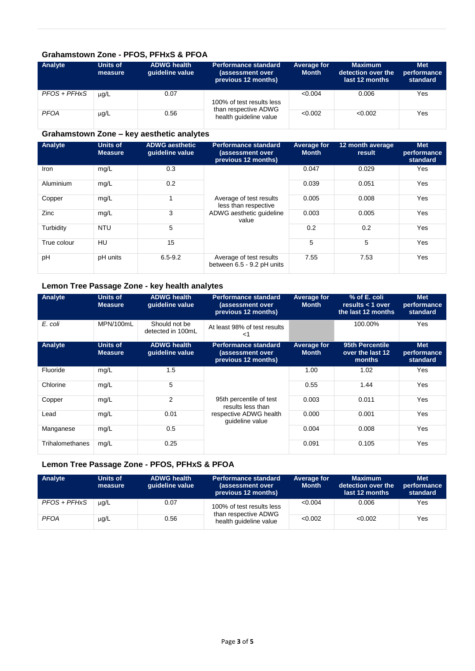#### **Grahamstown Zone - PFOS, PFHxS & PFOA**

| Analyte      | Units of<br>measure | <b>ADWG health</b><br>quideline value | <b>Performance standard</b><br>(assessment over<br>previous 12 months) | Average for<br><b>Month</b> | <b>Maximum</b><br>detection over the<br>last 12 months | <b>Met</b><br>performance<br>standard |
|--------------|---------------------|---------------------------------------|------------------------------------------------------------------------|-----------------------------|--------------------------------------------------------|---------------------------------------|
| PFOS + PFHxS | ug/L                | 0.07                                  | 100% of test results less                                              | < 0.004                     | 0.006                                                  | Yes                                   |
| <b>PFOA</b>  | $\mu$ g/L           | 0.56                                  | than respective ADWG<br>health quideline value                         | < 0.002                     | < 0.002                                                | Yes                                   |

### **Grahamstown Zone – key aesthetic analytes**

| Analyte     | <b>Units of</b><br><b>Measure</b> | <b>ADWG aesthetic</b><br>quideline value | <b>Performance standard</b><br>(assessment over<br>previous 12 months) | Average for<br><b>Month</b> | 12 month average<br>result | <b>Met</b><br>performance<br>standard |
|-------------|-----------------------------------|------------------------------------------|------------------------------------------------------------------------|-----------------------------|----------------------------|---------------------------------------|
| Iron        | mg/L                              | 0.3                                      | Average of test results<br>less than respective                        | 0.047                       | 0.029                      | Yes                                   |
| Aluminium   | mg/L                              | 0.2                                      |                                                                        | 0.039                       | 0.051                      | Yes                                   |
| Copper      | mg/L                              |                                          |                                                                        | 0.005                       | 0.008                      | Yes                                   |
| Zinc        | mg/L                              | 3                                        | ADWG aesthetic guideline<br>value                                      | 0.003                       | 0.005                      | Yes                                   |
| Turbidity   | <b>NTU</b>                        | 5                                        |                                                                        | 0.2                         | 0.2                        | Yes                                   |
| True colour | HU                                | 15                                       |                                                                        | 5                           | 5                          | Yes                                   |
| pH          | pH units                          | $6.5 - 9.2$                              | Average of test results<br>between 6.5 - 9.2 pH units                  | 7.55                        | 7.53                       | Yes                                   |

## **Lemon Tree Passage Zone - key health analytes**

| Analyte         | <b>Units of</b><br><b>Measure</b> | <b>ADWG health</b><br>quideline value | <b>Performance standard</b><br>(assessment over<br>previous 12 months) | Average for<br><b>Month</b> | % of E. coli<br>results $<$ 1 over<br>the last 12 months | <b>Met</b><br>performance<br>standard |
|-----------------|-----------------------------------|---------------------------------------|------------------------------------------------------------------------|-----------------------------|----------------------------------------------------------|---------------------------------------|
| E. coli         | MPN/100mL                         | Should not be<br>detected in 100mL    | At least 98% of test results<br><1                                     |                             | 100.00%                                                  | Yes                                   |
| Analyte         | <b>Units of</b><br><b>Measure</b> | <b>ADWG health</b><br>quideline value | <b>Performance standard</b><br>(assessment over<br>previous 12 months) | Average for<br><b>Month</b> | 95th Percentile<br>over the last 12<br>months            | <b>Met</b><br>performance<br>standard |
| Fluoride        | mg/L                              | 1.5                                   |                                                                        | 1.00                        | 1.02                                                     | Yes                                   |
| Chlorine        | mg/L                              | 5                                     |                                                                        | 0.55                        | 1.44                                                     | Yes                                   |
| Copper          | mg/L                              | 2                                     | 95th percentile of test<br>results less than                           | 0.003                       | 0.011                                                    | Yes                                   |
| Lead            | mg/L                              | 0.01                                  | respective ADWG health<br>quideline value                              | 0.000                       | 0.001                                                    | Yes                                   |
| Manganese       | mg/L                              | 0.5                                   |                                                                        | 0.004                       | 0.008                                                    | Yes                                   |
| Trihalomethanes | mg/L                              | 0.25                                  |                                                                        | 0.091                       | 0.105                                                    | Yes                                   |

### **Lemon Tree Passage Zone - PFOS, PFHxS & PFOA**

| Analyte      | Units of<br>measure | <b>ADWG health</b><br>quideline value | <b>Performance standard</b><br>(assessment over<br>previous 12 months) | Average for<br><b>Month</b> | <b>Maximum</b><br>detection over the<br>last 12 months | <b>Met</b><br>performance<br>standard |
|--------------|---------------------|---------------------------------------|------------------------------------------------------------------------|-----------------------------|--------------------------------------------------------|---------------------------------------|
| PFOS + PFHxS | $\mu$ q/L           | 0.07                                  | 100% of test results less                                              | < 0.004                     | 0.006                                                  | Yes                                   |
| <b>PFOA</b>  | $\mu$ g/L           | 0.56                                  | than respective ADWG<br>health quideline value                         | < 0.002                     | < 0.002                                                | Yes                                   |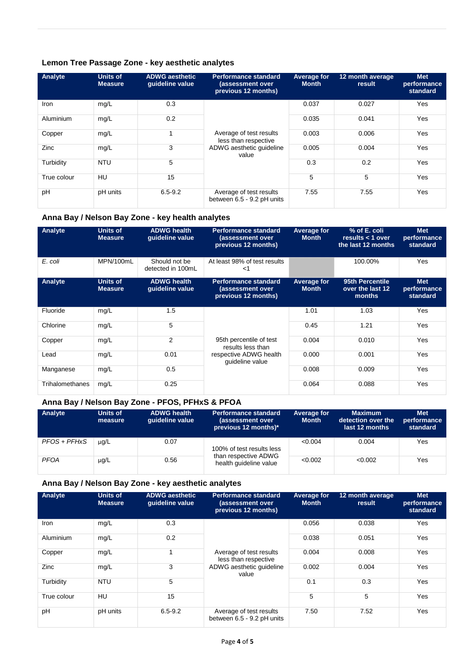#### **Lemon Tree Passage Zone - key aesthetic analytes**

| Analyte     | <b>Units of</b><br><b>Measure</b> | <b>ADWG</b> aesthetic<br>quideline value | <b>Performance standard</b><br>(assessment over<br>previous 12 months) | Average for<br><b>Month</b> | 12 month average<br>result | <b>Met</b><br>performance<br>standard |
|-------------|-----------------------------------|------------------------------------------|------------------------------------------------------------------------|-----------------------------|----------------------------|---------------------------------------|
| Iron        | mg/L                              | 0.3                                      | Average of test results<br>less than respective                        | 0.037                       | 0.027                      | Yes                                   |
| Aluminium   | mg/L                              | 0.2                                      |                                                                        | 0.035                       | 0.041                      | Yes                                   |
| Copper      | mg/L                              | 1                                        |                                                                        | 0.003                       | 0.006                      | Yes                                   |
| Zinc        | mg/L                              | 3                                        | ADWG aesthetic quideline<br>value                                      | 0.005                       | 0.004                      | Yes                                   |
| Turbidity   | <b>NTU</b>                        | 5                                        |                                                                        | 0.3                         | 0.2                        | Yes                                   |
| True colour | HU                                | 15                                       |                                                                        | 5                           | 5                          | Yes                                   |
| pH          | pH units                          | $6.5 - 9.2$                              | Average of test results<br>between 6.5 - 9.2 pH units                  | 7.55                        | 7.55                       | Yes                                   |

### **Anna Bay / Nelson Bay Zone - key health analytes**

| Analyte         | Units of<br><b>Measure</b>        | <b>ADWG health</b><br>quideline value | <b>Performance standard</b><br>(assessment over<br>previous 12 months) | <b>Average for</b><br><b>Month</b> | % of E. coli<br>results $<$ 1 over<br>the last 12 months | <b>Met</b><br>performance<br>standard |
|-----------------|-----------------------------------|---------------------------------------|------------------------------------------------------------------------|------------------------------------|----------------------------------------------------------|---------------------------------------|
| E. coli         | MPN/100mL                         | Should not be<br>detected in 100mL    | At least 98% of test results<br><1                                     |                                    | 100.00%                                                  | Yes                                   |
| Analyte         | <b>Units of</b><br><b>Measure</b> | <b>ADWG health</b><br>guideline value | <b>Performance standard</b><br>(assessment over<br>previous 12 months) | <b>Average for</b><br><b>Month</b> | 95th Percentile<br>over the last 12<br>months            | <b>Met</b><br>performance<br>standard |
| Fluoride        | mg/L                              | 1.5                                   |                                                                        | 1.01                               | 1.03                                                     | Yes                                   |
| Chlorine        | mg/L                              | 5                                     |                                                                        | 0.45                               | 1.21                                                     | Yes                                   |
| Copper          | mg/L                              | 2                                     | 95th percentile of test<br>results less than                           | 0.004                              | 0.010                                                    | Yes                                   |
| Lead            | mg/L                              | 0.01                                  | respective ADWG health<br>quideline value                              | 0.000                              | 0.001                                                    | Yes                                   |
| Manganese       | mg/L                              | 0.5                                   |                                                                        | 0.008                              | 0.009                                                    | Yes                                   |
| Trihalomethanes | mg/L                              | 0.25                                  |                                                                        | 0.064                              | 0.088                                                    | Yes                                   |

### **Anna Bay / Nelson Bay Zone - PFOS, PFHxS & PFOA**

| Analyte      | Units of<br>measure | <b>ADWG health</b><br>quideline value | <b>Performance standard</b><br>(assessment over<br>previous 12 months)* | Average for<br><b>Month</b> | <b>Maximum</b><br>detection over the<br>last 12 months | <b>Met</b><br>performance<br>standard |  |
|--------------|---------------------|---------------------------------------|-------------------------------------------------------------------------|-----------------------------|--------------------------------------------------------|---------------------------------------|--|
| PFOS + PFHxS | $\mu$ g/L           | 0.07                                  | 100% of test results less                                               | < 0.004                     | 0.004                                                  | Yes                                   |  |
| <b>PFOA</b>  | $\mu$ g/L           | 0.56                                  | than respective ADWG<br>health quideline value                          | < 0.002                     | < 0.002                                                | Yes                                   |  |

#### **Anna Bay / Nelson Bay Zone - key aesthetic analytes**

| Analyte     | <b>Units of</b><br><b>Measure</b> | <b>ADWG aesthetic</b><br>quideline value | <b>Performance standard</b><br>(assessment over<br>previous 12 months) | Average for<br><b>Month</b> | 12 month average<br>result | <b>Met</b><br>performance<br>standard |
|-------------|-----------------------------------|------------------------------------------|------------------------------------------------------------------------|-----------------------------|----------------------------|---------------------------------------|
| <b>Iron</b> | mg/L                              | 0.3                                      |                                                                        | 0.056                       | 0.038                      | Yes                                   |
| Aluminium   | mg/L                              | 0.2                                      |                                                                        | 0.038                       | 0.051                      | Yes                                   |
| Copper      | mg/L                              | 4                                        | Average of test results<br>less than respective                        | 0.004                       | 0.008                      | Yes                                   |
| Zinc        | mg/L                              | 3                                        | ADWG aesthetic guideline<br>value                                      | 0.002                       | 0.004                      | Yes                                   |
| Turbidity   | <b>NTU</b>                        | 5                                        |                                                                        | 0.1                         | 0.3                        | Yes                                   |
| True colour | HU                                | 15                                       |                                                                        | 5                           | 5                          | Yes                                   |
| pH          | pH units                          | $6.5 - 9.2$                              | Average of test results<br>between 6.5 - 9.2 pH units                  | 7.50                        | 7.52                       | Yes                                   |